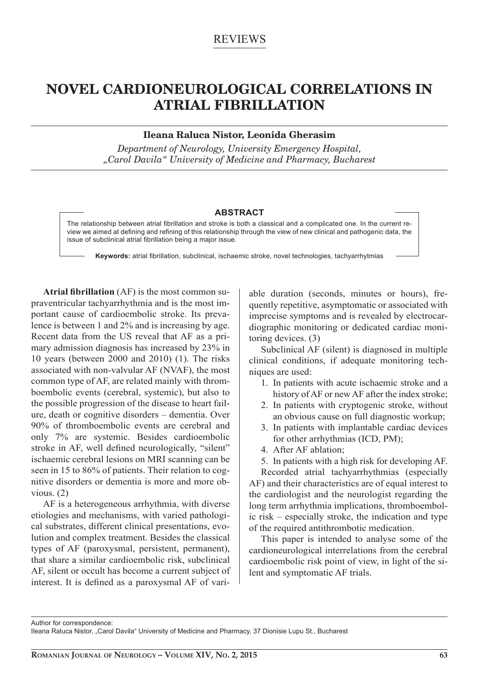# REVIEWS

# **NOVEL CARDIONEUROLOGICAL CORRELATIONS IN ATRIAL FIBRILLATION**

# **Ileana Raluca Nistor, Leonida Gherasim**

*Department of Neurology, University Emergency Hospital, "Carol Davila" University of Medicine and Pharmacy, Bucharest*

#### **ABSTRACT**

The relationship between atrial fibrillation and stroke is both a classical and a complicated one. In the current review we aimed at defining and refining of this relationship through the view of new clinical and pathogenic data, the issue of subclinical atrial fibrillation being a major issue.

Keywords: atrial fibrillation, subclinical, ischaemic stroke, novel technologies, tachyarrhytmias

**Atrial fibrillation** (AF) is the most common supraventricular tachyarrhythmia and is the most important cause of cardioembolic stroke. Its prevalence is between 1 and 2% and is increasing by age. Recent data from the US reveal that AF as a primary admission diagnosis has increased by 23% in 10 years (between 2000 and 2010) (1). The risks associated with non-valvular AF (NVAF), the most common type of AF, are related mainly with thromboembolic events (cerebral, systemic), but also to the possible progression of the disease to heart failure, death or cognitive disorders – dementia. Over 90% of thromboembolic events are cerebral and only 7% are systemic. Besides cardioembolic stroke in AF, well defined neurologically, "silent" ischaemic cerebral lesions on MRI scanning can be seen in 15 to 86% of patients. Their relation to cognitive disorders or dementia is more and more obvious. (2)

AF is a heterogeneous arrhythmia, with diverse etiologies and mechanisms, with varied pathological substrates, different clinical presentations, evolution and complex treatment. Besides the classical types of AF (paroxysmal, persistent, permanent), that share a similar cardioembolic risk, subclinical AF, silent or occult has become a current subject of interest. It is defined as a paroxysmal AF of variable duration (seconds, minutes or hours), frequently repetitive, asymptomatic or associated with imprecise symptoms and is revealed by electrocardiographic monitoring or dedicated cardiac monitoring devices. (3)

Subclinical AF (silent) is diagnosed in multiple clinical conditions, if adequate monitoring techniques are used:

- 1. In patients with acute ischaemic stroke and a history of AF or new AF after the index stroke;
- 2. In patients with cryptogenic stroke, without an obvious cause on full diagnostic workup;
- 3. In patients with implantable cardiac devices for other arrhythmias (ICD, PM);
- 4. After AF ablation;
- 5. In patients with a high risk for developing AF.

Recorded atrial tachyarrhythmias (especially AF) and their characteristics are of equal interest to the cardiologist and the neurologist regarding the long term arrhythmia implications, thromboembolic risk – especially stroke, the indication and type of the required antithrombotic medication.

This paper is intended to analyse some of the cardioneurological interrelations from the cerebral cardioembolic risk point of view, in light of the silent and symptomatic AF trials.

Author for correspondence: Ileana Raluca Nistor, "Carol Davila" University of Medicine and Pharmacy, 37 Dionisie Lupu St., Bucharest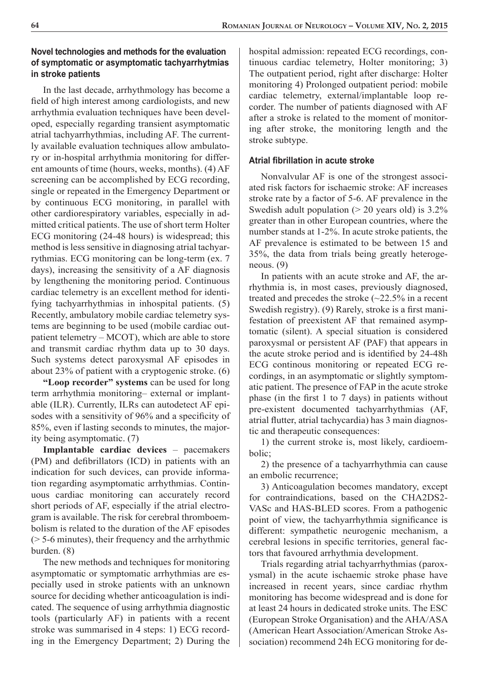# **Novel technologies and methods for the evaluation of symptomatic or asymptomatic tachyarrhytmias in stroke patients**

In the last decade, arrhythmology has become a field of high interest among cardiologists, and new arrhythmia evaluation techniques have been developed, especially regarding transient asymptomatic atrial tachyarrhythmias, including AF. The currently available evaluation techniques allow ambulatory or in-hospital arrhythmia monitoring for different amounts of time (hours, weeks, months). (4) AF screening can be accomplished by ECG recording, single or repeated in the Emergency Department or by continuous ECG monitoring, in parallel with other cardiorespiratory variables, especially in admitted critical patients. The use of short term Holter ECG monitoring (24-48 hours) is widespread; this method is less sensitive in diagnosing atrial tachyarrythmias. ECG monitoring can be long-term (ex. 7 days), increasing the sensitivity of a AF diagnosis by lengthening the monitoring period. Continuous cardiac telemetry is an excellent method for identifying tachyarrhythmias in inhospital patients. (5) Recently, ambulatory mobile cardiac telemetry systems are beginning to be used (mobile cardiac outpatient telemetry – MCOT), which are able to store and transmit cardiac rhythm data up to 30 days. Such systems detect paroxysmal AF episodes in about 23% of patient with a cryptogenic stroke. (6)

**"Loop recorder" systems** can be used for long term arrhythmia monitoring– external or implantable (ILR). Currently, ILRs can autodetect AF episodes with a sensitivity of 96% and a specificity of 85%, even if lasting seconds to minutes, the majority being asymptomatic. (7)

**Implantable cardiac devices** – pacemakers (PM) and defibrillators (ICD) in patients with an indication for such devices, can provide information regarding asymptomatic arrhythmias. Continuous cardiac monitoring can accurately record short periods of AF, especially if the atrial electrogram is available. The risk for cerebral thromboembolism is related to the duration of the AF episodes (> 5-6 minutes), their frequency and the arrhythmic burden. (8)

The new methods and techniques for monitoring asymptomatic or symptomatic arrhythmias are especially used in stroke patients with an unknown source for deciding whether anticoagulation is indicated. The sequence of using arrhythmia diagnostic tools (particularly AF) in patients with a recent stroke was summarised in 4 steps: 1) ECG recording in the Emergency Department; 2) During the

hospital admission: repeated ECG recordings, continuous cardiac telemetry, Holter monitoring; 3) The outpatient period, right after discharge: Holter monitoring 4) Prolonged outpatient period: mobile cardiac telemetry, external/implantable loop recorder. The number of patients diagnosed with AF after a stroke is related to the moment of monitoring after stroke, the monitoring length and the stroke subtype.

### **Atrial fi brillation in acute stroke**

Nonvalvular AF is one of the strongest associated risk factors for ischaemic stroke: AF increases stroke rate by a factor of 5-6. AF prevalence in the Swedish adult population  $(> 20$  years old) is 3.2% greater than in other European countries, where the number stands at 1-2%. In acute stroke patients, the AF prevalence is estimated to be between 15 and 35%, the data from trials being greatly heterogeneous. (9)

In patients with an acute stroke and AF, the arrhythmia is, in most cases, previously diagnosed, treated and precedes the stroke (~22.5% in a recent Swedish registry). (9) Rarely, stroke is a first manifestation of preexistent AF that remained asymptomatic (silent). A special situation is considered paroxysmal or persistent AF (PAF) that appears in the acute stroke period and is identified by 24-48h ECG continous monitoring or repeated ECG recordings, in an asymptomatic or slightly symptomatic patient. The presence of FAP in the acute stroke phase (in the first  $1$  to  $7$  days) in patients without pre-existent documented tachyarrhythmias (AF, atrial flutter, atrial tachycardia) has 3 main diagnostic and therapeutic consequences:

1) the current stroke is, most likely, cardioembolic;

2) the presence of a tachyarrhythmia can cause an embolic recurrence;

3) Anticoagulation becomes mandatory, except for contraindications, based on the CHA2DS2- VASc and HAS-BLED scores. From a pathogenic point of view, the tachyarrhythmia significance is different: sympathetic neurogenic mechanism, a cerebral lesions in specific territories, general factors that favoured arrhythmia development.

Trials regarding atrial tachyarrhythmias (paroxysmal) in the acute ischaemic stroke phase have increased in recent years, since cardiac rhythm monitoring has become widespread and is done for at least 24 hours in dedicated stroke units. The ESC (European Stroke Organisation) and the AHA/ASA (American Heart Association/American Stroke Association) recommend 24h ECG monitoring for de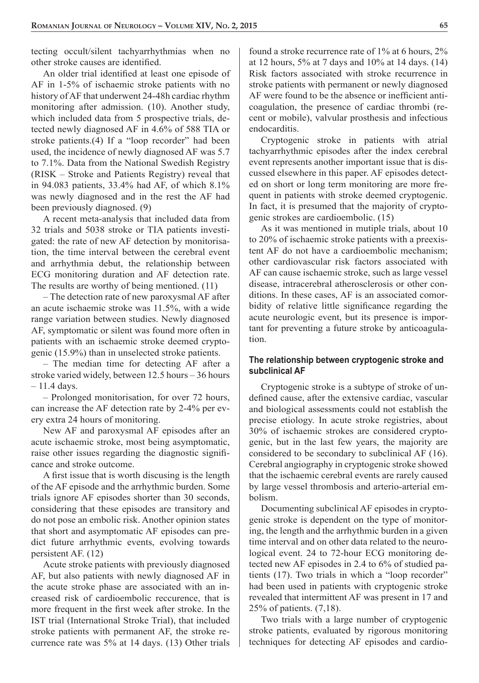tecting occult/silent tachyarrhythmias when no other stroke causes are identified.

An older trial identified at least one episode of AF in 1-5% of ischaemic stroke patients with no history of AF that underwent 24-48h cardiac rhythm monitoring after admission. (10). Another study, which included data from 5 prospective trials, detected newly diagnosed AF in 4.6% of 588 TIA or stroke patients.(4) If a "loop recorder" had been used, the incidence of newly diagnosed AF was 5.7 to 7.1%. Data from the National Swedish Registry (RISK – Stroke and Patients Registry) reveal that in 94.083 patients, 33.4% had AF, of which 8.1% was newly diagnosed and in the rest the AF had been previously diagnosed. (9)

A recent meta-analysis that included data from 32 trials and 5038 stroke or TIA patients investigated: the rate of new AF detection by monitorisation, the time interval between the cerebral event and arrhythmia debut, the relationship between ECG monitoring duration and AF detection rate. The results are worthy of being mentioned. (11)

– The detection rate of new paroxysmal AF after an acute ischaemic stroke was 11.5%, with a wide range variation between studies. Newly diagnosed AF, symptomatic or silent was found more often in patients with an ischaemic stroke deemed cryptogenic (15.9%) than in unselected stroke patients.

– The median time for detecting AF after a stroke varied widely, between 12.5 hours – 36 hours  $-11.4$  days.

– Prolonged monitorisation, for over 72 hours, can increase the AF detection rate by 2-4% per every extra 24 hours of monitoring.

New AF and paroxysmal AF episodes after an acute ischaemic stroke, most being asymptomatic, raise other issues regarding the diagnostic significance and stroke outcome.

A first issue that is worth discusing is the length of the AF episode and the arrhythmic burden. Some trials ignore AF episodes shorter than 30 seconds, considering that these episodes are transitory and do not pose an embolic risk. Another opinion states that short and asymptomatic AF episodes can predict future arrhythmic events, evolving towards persistent AF. (12)

Acute stroke patients with previously diagnosed AF, but also patients with newly diagnosed AF in the acute stroke phase are associated with an increased risk of cardioembolic reccurence, that is more frequent in the first week after stroke. In the IST trial (International Stroke Trial), that included stroke patients with permanent AF, the stroke recurrence rate was 5% at 14 days. (13) Other trials

found a stroke recurrence rate of 1% at 6 hours, 2% at 12 hours, 5% at 7 days and 10% at 14 days. (14) Risk factors associated with stroke recurrence in stroke patients with permanent or newly diagnosed AF were found to be the absence or inefficient anticoagulation, the presence of cardiac thrombi (recent or mobile), valvular prosthesis and infectious endocarditis.

Cryptogenic stroke in patients with atrial tachyarrhythmic episodes after the index cerebral event represents another important issue that is discussed elsewhere in this paper. AF episodes detected on short or long term monitoring are more frequent in patients with stroke deemed cryptogenic. In fact, it is presumed that the majority of cryptogenic strokes are cardioembolic. (15)

As it was mentioned in mutiple trials, about 10 to 20% of ischaemic stroke patients with a preexistent AF do not have a cardioembolic mechanism; other cardiovascular risk factors associated with AF can cause ischaemic stroke, such as large vessel disease, intracerebral atherosclerosis or other conditions. In these cases, AF is an associated comorbidity of relative little significance regarding the acute neurologic event, but its presence is important for preventing a future stroke by anticoagulation.

#### **The relationship between cryptogenic stroke and subclinical AF**

Cryptogenic stroke is a subtype of stroke of undefined cause, after the extensive cardiac, vascular and biological assessments could not establish the precise etiology. In acute stroke registries, about 30% of ischaemic strokes are considered cryptogenic, but in the last few years, the majority are considered to be secondary to subclinical AF (16). Cerebral angiography in cryptogenic stroke showed that the ischaemic cerebral events are rarely caused by large vessel thrombosis and arterio-arterial embolism.

Documenting subclinical AF episodes in cryptogenic stroke is dependent on the type of monitoring, the length and the arrhythmic burden in a given time interval and on other data related to the neurological event. 24 to 72-hour ECG monitoring detected new AF episodes in 2.4 to 6% of studied patients (17). Two trials in which a "loop recorder" had been used in patients with cryptogenic stroke revealed that intermittent AF was present in 17 and 25% of patients. (7,18).

Two trials with a large number of cryptogenic stroke patients, evaluated by rigorous monitoring techniques for detecting AF episodes and cardio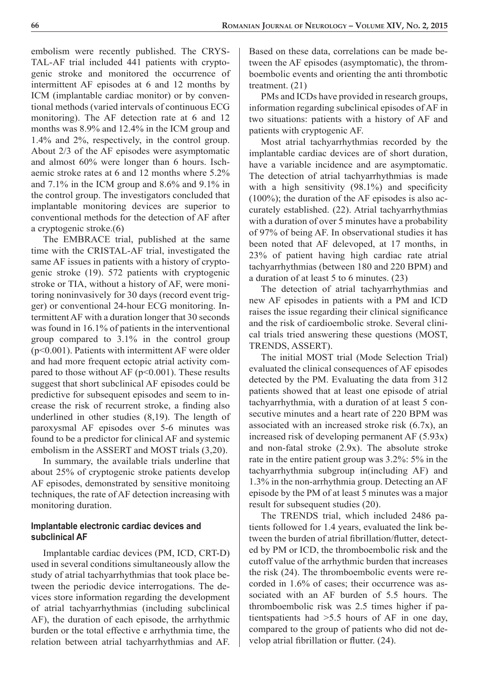embolism were recently published. The CRYS-TAL-AF trial included 441 patients with cryptogenic stroke and monitored the occurrence of intermittent AF episodes at 6 and 12 months by ICM (implantable cardiac monitor) or by conventional methods (varied intervals of continuous ECG monitoring). The AF detection rate at 6 and 12 months was 8.9% and 12.4% in the ICM group and 1.4% and 2%, respectively, in the control group. About 2/3 of the AF episodes were asymptomatic and almost 60% were longer than 6 hours. Ischaemic stroke rates at 6 and 12 months where 5.2% and 7.1% in the ICM group and 8.6% and 9.1% in the control group. The investigators concluded that implantable monitoring devices are superior to conventional methods for the detection of AF after a cryptogenic stroke.(6)

The EMBRACE trial, published at the same time with the CRISTAL-AF trial, investigated the same AF issues in patients with a history of cryptogenic stroke (19). 572 patients with cryptogenic stroke or TIA, without a history of AF, were monitoring noninvasively for 30 days (record event trigger) or conventional 24-hour ECG monitoring. Intermittent AF with a duration longer that 30 seconds was found in 16.1% of patients in the interventional group compared to 3.1% in the control group (p<0.001). Patients with intermittent AF were older and had more frequent ectopic atrial activity compared to those without AF ( $p<0.001$ ). These results suggest that short subclinical AF episodes could be predictive for subsequent episodes and seem to increase the risk of recurrent stroke, a finding also underlined in other studies (8,19). The length of paroxysmal AF episodes over 5-6 minutes was found to be a predictor for clinical AF and systemic embolism in the ASSERT and MOST trials (3,20).

In summary, the available trials underline that about 25% of cryptogenic stroke patients develop AF episodes, demonstrated by sensitive monitoing techniques, the rate of AF detection increasing with monitoring duration.

## **Implantable electronic cardiac devices and subclinical AF**

Implantable cardiac devices (PM, ICD, CRT-D) used in several conditions simultaneously allow the study of atrial tachyarrhythmias that took place between the periodic device interrogations. The devices store information regarding the development of atrial tachyarrhythmias (including subclinical AF), the duration of each episode, the arrhythmic burden or the total effective e arrhythmia time, the relation between atrial tachyarrhythmias and AF. Based on these data, correlations can be made between the AF episodes (asymptomatic), the thromboembolic events and orienting the anti thrombotic treatment. (21)

PMs and ICDs have provided in research groups, information regarding subclinical episodes of AF in two situations: patients with a history of AF and patients with cryptogenic AF.

Most atrial tachyarrhythmias recorded by the implantable cardiac devices are of short duration, have a variable incidence and are asymptomatic. The detection of atrial tachyarrhythmias is made with a high sensitivity  $(98.1\%)$  and specificity (100%); the duration of the AF episodes is also accurately established. (22). Atrial tachyarrhythmias with a duration of over 5 minutes have a probability of 97% of being AF. In observational studies it has been noted that AF delevoped, at 17 months, in 23% of patient having high cardiac rate atrial tachyarrhythmias (between 180 and 220 BPM) and a duration of at least 5 to 6 minutes. (23)

The detection of atrial tachyarrhythmias and new AF episodes in patients with a PM and ICD raises the issue regarding their clinical significance and the risk of cardioembolic stroke. Several clinical trials tried answering these questions (MOST, TRENDS, ASSERT).

The initial MOST trial (Mode Selection Trial) evaluated the clinical consequences of AF episodes detected by the PM. Evaluating the data from 312 patients showed that at least one episode of atrial tachyarrhythmia, with a duration of at least 5 consecutive minutes and a heart rate of 220 BPM was associated with an increased stroke risk (6.7x), an increased risk of developing permanent AF (5.93x) and non-fatal stroke (2.9x). The absolute stroke rate in the entire patient group was 3.2%: 5% in the tachyarrhythmia subgroup in(including AF) and 1.3% in the non-arrhythmia group. Detecting an AF episode by the PM of at least 5 minutes was a major result for subsequent studies (20).

The TRENDS trial, which included 2486 patients followed for 1.4 years, evaluated the link between the burden of atrial fibrillation/flutter, detected by PM or ICD, the thromboembolic risk and the cutoff value of the arrhythmic burden that increases the risk (24). The thromboembolic events were recorded in 1.6% of cases; their occurrence was associated with an AF burden of 5.5 hours. The thromboembolic risk was 2.5 times higher if patientspatients had >5.5 hours of AF in one day, compared to the group of patients who did not develop atrial fibrillation or flutter.  $(24)$ .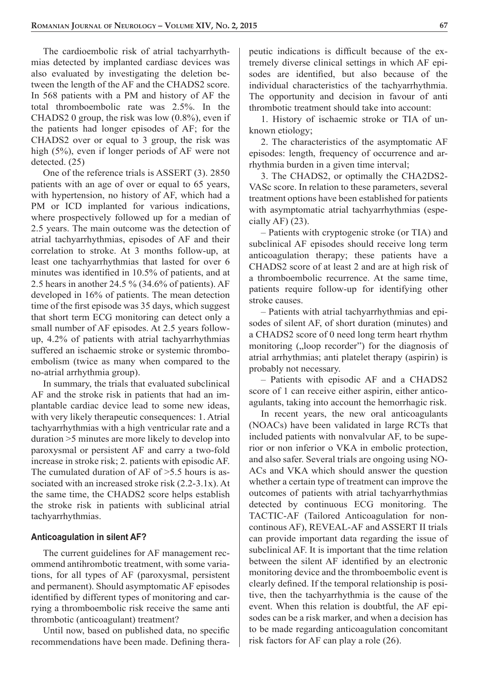The cardioembolic risk of atrial tachyarrhythmias detected by implanted cardiasc devices was also evaluated by investigating the deletion between the length of the AF and the CHADS2 score. In 568 patients with a PM and history of AF the total thromboembolic rate was 2.5%. In the CHADS2 0 group, the risk was low (0.8%), even if the patients had longer episodes of AF; for the CHADS2 over or equal to 3 group, the risk was high (5%), even if longer periods of AF were not detected. (25)

One of the reference trials is ASSERT (3). 2850 patients with an age of over or equal to 65 years, with hypertension, no history of AF, which had a PM or ICD implanted for various indications, where prospectively followed up for a median of 2.5 years. The main outcome was the detection of atrial tachyarrhythmias, episodes of AF and their correlation to stroke. At 3 months follow-up, at least one tachyarrhythmias that lasted for over 6 minutes was identified in  $10.5\%$  of patients, and at 2.5 hears in another 24.5 % (34.6% of patients). AF developed in 16% of patients. The mean detection time of the first episode was 35 days, which suggest that short term ECG monitoring can detect only a small number of AF episodes. At 2.5 years followup, 4.2% of patients with atrial tachyarrhythmias suffered an ischaemic stroke or systemic thromboembolism (twice as many when compared to the no-atrial arrhythmia group).

In summary, the trials that evaluated subclinical AF and the stroke risk in patients that had an implantable cardiac device lead to some new ideas, with very likely therapeutic consequences: 1. Atrial tachyarrhythmias with a high ventricular rate and a duration >5 minutes are more likely to develop into paroxysmal or persistent AF and carry a two-fold increase in stroke risk; 2. patients with episodic AF. The cumulated duration of AF of >5.5 hours is associated with an increased stroke risk (2.2-3.1x). At the same time, the CHADS2 score helps establish the stroke risk in patients with sublicinal atrial tachyarrhythmias.

#### **Anticoagulation in silent AF?**

The current guidelines for AF management recommend antihrombotic treatment, with some variations, for all types of AF (paroxysmal, persistent and permanent). Should asymptomatic AF episodes identified by different types of monitoring and carrying a thromboembolic risk receive the same anti thrombotic (anticoagulant) treatment?

Until now, based on published data, no specific recommendations have been made. Defining therapeutic indications is difficult because of the extremely diverse clinical settings in which AF episodes are identified, but also because of the individual characteristics of the tachyarrhythmia. The opportunity and decision in favour of anti thrombotic treatment should take into account:

1. History of ischaemic stroke or TIA of unknown etiology;

2. The characteristics of the asymptomatic AF episodes: length, frequency of occurrence and arrhythmia burden in a given time interval;

3. The CHADS2, or optimally the CHA2DS2- VASc score. In relation to these parameters, several treatment options have been established for patients with asymptomatic atrial tachyarrhythmias (especially  $AF$ ) (23).

– Patients with cryptogenic stroke (or TIA) and subclinical AF episodes should receive long term anticoagulation therapy; these patients have a CHADS2 score of at least 2 and are at high risk of a thromboembolic recurrence. At the same time, patients require follow-up for identifying other stroke causes.

– Patients with atrial tachyarrhythmias and episodes of silent AF, of short duration (minutes) and a CHADS2 score of 0 need long term heart rhythm monitoring ("loop recorder") for the diagnosis of atrial arrhythmias; anti platelet therapy (aspirin) is probably not necessary.

– Patients with episodic AF and a CHADS2 score of 1 can receive either aspirin, either anticoagulants, taking into account the hemorrhagic risk.

In recent years, the new oral anticoagulants (NOACs) have been validated in large RCTs that included patients with nonvalvular AF, to be superior or non inferior o VKA in embolic protection, and also safer. Several trials are ongoing using NO-ACs and VKA which should answer the question whether a certain type of treatment can improve the outcomes of patients with atrial tachyarrhythmias detected by continuous ECG monitoring. The TACTIC-AF (Tailored Anticoagulation for noncontinous AF), REVEAL-AF and ASSERT II trials can provide important data regarding the issue of subclinical AF. It is important that the time relation between the silent AF identified by an electronic monitoring device and the thromboembolic event is clearly defined. If the temporal relationship is positive, then the tachyarrhythmia is the cause of the event. When this relation is doubtful, the AF episodes can be a risk marker, and when a decision has to be made regarding anticoagulation concomitant risk factors for AF can play a role (26).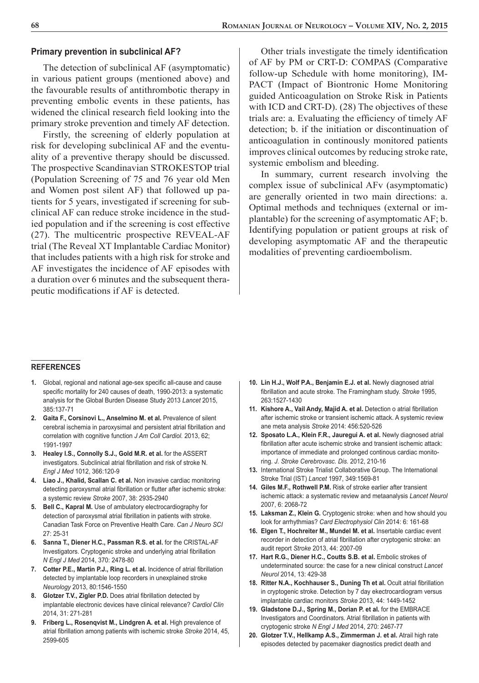#### **Primary prevention in subclinical AF?**

The detection of subclinical AF (asymptomatic) in various patient groups (mentioned above) and the favourable results of antithrombotic therapy in preventing embolic events in these patients, has widened the clinical research field looking into the primary stroke prevention and timely AF detection.

Firstly, the screening of elderly population at risk for developing subclinical AF and the eventuality of a preventive therapy should be discussed. The prospective Scandinavian STROKESTOP trial (Population Screening of 75 and 76 year old Men and Women post silent AF) that followed up patients for 5 years, investigated if screening for subclinical AF can reduce stroke incidence in the studied population and if the screening is cost effective (27). The multicentric prospective REVEAL-AF trial (The Reveal XT Implantable Cardiac Monitor) that includes patients with a high risk for stroke and AF investigates the incidence of AF episodes with a duration over 6 minutes and the subsequent therapeutic modifications if AF is detected.

Other trials investigate the timely identification of AF by PM or CRT-D: COMPAS (Comparative follow-up Schedule with home monitoring), IM-PACT (Impact of Biontronic Home Monitoring guided Anticoagulation on Stroke Risk in Patients with ICD and CRT-D). (28) The objectives of these trials are: a. Evaluating the efficiency of timely AF detection; b. if the initiation or discontinuation of anticoagulation in continously monitored patients improves clinical outcomes by reducing stroke rate, systemic embolism and bleeding.

In summary, current research involving the complex issue of subclinical AFv (asymptomatic) are generally oriented in two main directions: a. Optimal methods and techniques (external or implantable) for the screening of asymptomatic AF; b. Identifying population or patient groups at risk of developing asymptomatic AF and the therapeutic modalities of preventing cardioembolism.

#### **REFERENCES**

- **1.** Global, regional and national age-sex specific all-cause and cause specific mortality for 240 causes of death, 1990-2013: a systematic analysis for the Global Burden Disease Study 2013 *Lancet* 2015, 385:137-71
- **2. Gaita F., Corsinovi L., Anselmino M. et al.** Prevalence of silent cerebral ischemia in paroxysimal and persistent atrial fibrillation and correlation with cognitive function *J Am Coll Cardiol.* 2013, 62; 1991-1997
- **3. Healey I.S., Connolly S.J., Gold M.R. et al.** for the ASSERT investigators. Subclinical atrial fibrillation and risk of stroke N. *Engl J Med* 1012, 366:120-9
- **4. Liao J., Khalid, Scallan C. et al.** Non invasive cardiac monitoring detecting paroxysmal atrial fibrillation or flutter after ischemic stroke: a systemic review *Stroke* 2007, 38: 2935-2940
- **5. Bell C., Kapral M.** Use of ambulatory electrocardiography for detection of paroxysmal atrial fibrillation in patients with stroke. Canadian Task Force on Preventive Health Care. *Can J Neuro SCI*  27: 25-31
- **6. Sanna T., Diener H.C., Passman R.S. et al.** for the CRISTAL-AF Investigators. Cryptogenic stroke and underlying atrial fibrillation *N Engl J Med* 2014, 370: 2478-80
- 7. Cotter P.E., Martin P.J., Ring L. et al. Incidence of atrial fibrillation detected by implantable loop recorders in unexplained stroke *Neurology* 2013, 80:1546-1550
- 8. Glotzer T.V., Zigler P.D. Does atrial fibrillation detected by implantable electronic devices have clinical relevance? *Cardiol Clin* 2014, 31: 271-281
- **9. Friberg L., Rosenqvist M., Lindgren A. et al.** High prevalence of atrial fibrillation among patients with ischemic stroke *Stroke* 2014, 45, 2599-605
- **10. Lin H.J., Wolf P.A., Benjamin E.J. et al.** Newly diagnosed atrial fibrillation and acute stroke. The Framingham study. *Stroke* 1995, 263:1527-1430
- 11. Kishore A., Vail Andy, Majid A. et al. Detection o atrial fibrillation after ischemic stroke or transient ischemic attack. A systemic review ane meta analysis *Stroke* 2014: 456:520-526
- **12. Sposato L.A., Klein F.R., Jauregui A. et al.** Newly diagnosed atrial fibrillation after acute ischemic stroke and transient ischemic attack: importance of immediate and prolonged continous cardiac monitoring. *J. Stroke Cerebrovasc. Dis.* 2012, 210-16
- **13.** International Stroke Trialist Collaborative Group. The International Stroke Trial (IST) *Lancet* 1997, 349:1569-81
- **14. Giles M.F., Rothwell P.M.** Risk of stroke earlier after transient ischemic attack: a systematic review and metaanalysis *Lancet Neurol*  2007, 6: 2068-72
- **15. Laksman Z., Klein G.** Cryptogenic stroke: when and how should you look for arrhythmias? *Card Electrophysiol Clin* 2014: 6: 161-68
- **16. Elgen T., Hochreiter M., Mundel M. et al.** Insertable cardiac event recorder in detection of atrial fibrillation after cryptogenic stroke: an audit report *Stroke* 2013, 44: 2007-09
- 17. Hart R.G., Diener H.C., Coutts S.B. et al. Embolic strokes of undeterminated source: the case for a new clinical construct *Lancet Neurol* 2014, 13: 429-38
- 18. Ritter N.A., Kochhauser S., Duning Th et al. Ocult atrial fibrillation in cryptogenic stroke. Detection by 7 day ekectrocardiogram versus implantable cardiac monitors *Stroke* 2013, 44: 1449-1452
- **19. Gladstone D.J., Spring M., Dorian P. et al.** for the EMBRACE Investigators and Coordinators. Atrial fibrillation in patients with cryptogenic stroke *N Engl J Med* 2014, 270: 2467-77
- **20. Glotzer T.V., Hellkamp A.S., Zimmerman J. et al.** Atrail high rate episodes detected by pacemaker diagnostics predict death and